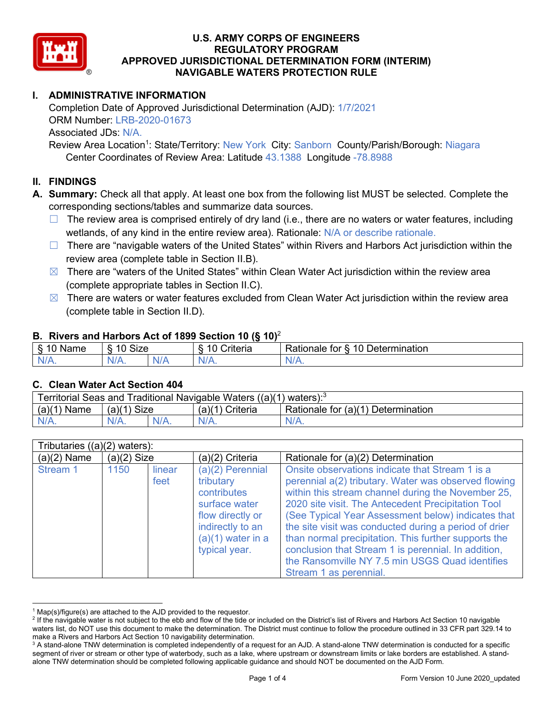

# **I. ADMINISTRATIVE INFORMATION**

Completion Date of Approved Jurisdictional Determination (AJD): 1/7/2021 ORM Number: LRB-2020-01673 Associated JDs: N/A.

Review Area Location<sup>1</sup>: State/Territory: New York City: Sanborn County/Parish/Borough: Niagara Center Coordinates of Review Area: Latitude 43.1388 Longitude -78.8988

#### **II. FINDINGS**

**A. Summary:** Check all that apply. At least one box from the following list MUST be selected. Complete the corresponding sections/tables and summarize data sources.

- $\Box$  The review area is comprised entirely of dry land (i.e., there are no waters or water features, including wetlands, of any kind in the entire review area). Rationale: N/A or describe rationale.
- $\Box$  There are "navigable waters of the United States" within Rivers and Harbors Act jurisdiction within the review area (complete table in Section II.B).
- $\boxtimes$  There are "waters of the United States" within Clean Water Act jurisdiction within the review area (complete appropriate tables in Section II.C).
- $\boxtimes$  There are waters or water features excluded from Clean Water Act jurisdiction within the review area (complete table in Section II.D).

#### **B. Rivers and Harbors Act of 1899 Section 10 (§ 10)**<sup>2</sup>

| $\cdot$                   |                      |        |                                                             |                                                 |  |  |  |
|---------------------------|----------------------|--------|-------------------------------------------------------------|-------------------------------------------------|--|--|--|
| $\sim$<br>$-$<br>ame<br>◡ | 10<br>$\sim$<br>SIZE |        | .<br>10<br>$^{\circ}$ rıt $\cap$ rı $\cap$<br><b>AILCIT</b> | Determination<br>$\sqrt{ }$<br>Rationale<br>tor |  |  |  |
| $N/A$ .                   | ו גו<br>97 / TV .    | w<br>. | $N/A$ .                                                     | $N_{\ell}$<br>$\mathbf{v}$                      |  |  |  |

#### **C. Clean Water Act Section 404**

| Territorial Seas and Traditional Navigable Waters $((a)(1)$ waters): <sup>3</sup> |                |  |                 |                                    |  |  |
|-----------------------------------------------------------------------------------|----------------|--|-----------------|------------------------------------|--|--|
| (a)(1)<br>Name                                                                    | Size<br>(a)(1) |  | (a)(1) Criteria | Rationale for (a)(1) Determination |  |  |
|                                                                                   | $N/A$ .        |  | $N/A$ .         | $N/A$ .                            |  |  |

| Tributaries $((a)(2)$ waters): |               |                |                                                                                                                                                 |                                                                                                                                                                                                                                                                                                                                                                                                                                                                                                                                |  |  |
|--------------------------------|---------------|----------------|-------------------------------------------------------------------------------------------------------------------------------------------------|--------------------------------------------------------------------------------------------------------------------------------------------------------------------------------------------------------------------------------------------------------------------------------------------------------------------------------------------------------------------------------------------------------------------------------------------------------------------------------------------------------------------------------|--|--|
| $(a)(2)$ Name                  | $(a)(2)$ Size |                | (a)(2) Criteria                                                                                                                                 | Rationale for (a)(2) Determination                                                                                                                                                                                                                                                                                                                                                                                                                                                                                             |  |  |
| Stream 1                       | 1150          | linear<br>feet | $(a)(2)$ Perennial<br>tributary<br>contributes<br>surface water<br>flow directly or<br>indirectly to an<br>$(a)(1)$ water in a<br>typical year. | Onsite observations indicate that Stream 1 is a<br>perennial a(2) tributary. Water was observed flowing<br>within this stream channel during the November 25,<br>2020 site visit. The Antecedent Precipitation Tool<br>(See Typical Year Assessment below) indicates that<br>the site visit was conducted during a period of drier<br>than normal precipitation. This further supports the<br>conclusion that Stream 1 is perennial. In addition,<br>the Ransomville NY 7.5 min USGS Quad identifies<br>Stream 1 as perennial. |  |  |

 $1$  Map(s)/figure(s) are attached to the AJD provided to the requestor.

<sup>&</sup>lt;sup>2</sup> If the navigable water is not subject to the ebb and flow of the tide or included on the District's list of Rivers and Harbors Act Section 10 navigable waters list, do NOT use this document to make the determination. The District must continue to follow the procedure outlined in 33 CFR part 329.14 to make a Rivers and Harbors Act Section 10 navigability determination.

<sup>&</sup>lt;sup>3</sup> A stand-alone TNW determination is completed independently of a request for an AJD. A stand-alone TNW determination is conducted for a specific segment of river or stream or other type of waterbody, such as a lake, where upstream or downstream limits or lake borders are established. A standalone TNW determination should be completed following applicable guidance and should NOT be documented on the AJD Form.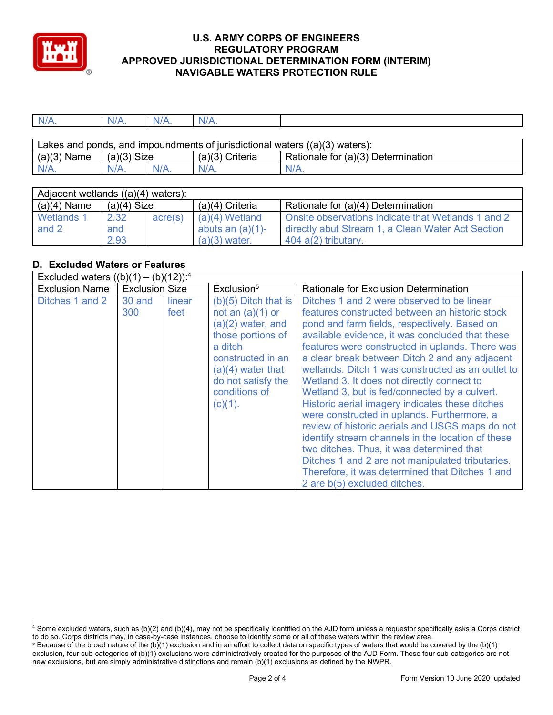

| NL | NI/A | NI. | N/A |  |
|----|------|-----|-----|--|
|    |      |     |     |  |

| Lakes and ponds, and impoundments of jurisdictional waters $((a)(3)$ waters): |               |         |                   |                                    |  |  |
|-------------------------------------------------------------------------------|---------------|---------|-------------------|------------------------------------|--|--|
| $(a)(3)$ Name                                                                 | $(a)(3)$ Size |         | $(a)(3)$ Criteria | Rationale for (a)(3) Determination |  |  |
| $N/A$ .                                                                       | N/A.          | $N/A$ . | $N/A$ .           | $N/A$ .                            |  |  |

| Adjacent wetlands $((a)(4)$ waters): |               |         |                     |                                                    |  |  |
|--------------------------------------|---------------|---------|---------------------|----------------------------------------------------|--|--|
| $(a)(4)$ Name                        | $(a)(4)$ Size |         | $(a)(4)$ Criteria   | Rationale for (a)(4) Determination                 |  |  |
| Wetlands 1                           | 2.32          | acre(s) | $(a)(4)$ Wetland    | Onsite observations indicate that Wetlands 1 and 2 |  |  |
| and 2                                | and           |         | abuts an $(a)(1)$ - | directly abut Stream 1, a Clean Water Act Section  |  |  |
|                                      | 2.93          |         | $(a)(3)$ water.     | $404$ a(2) tributary.                              |  |  |

# **D. Excluded Waters or Features**

| Excluded waters $((b)(1) - (b)(12))$ : <sup>4</sup> |                       |                |                                                                                                                                                                                                      |                                                                                                                                                                                                                                                                                                                                                                                                                                                                                                                                                                                                                                                                                                                                                                                                                                                        |  |
|-----------------------------------------------------|-----------------------|----------------|------------------------------------------------------------------------------------------------------------------------------------------------------------------------------------------------------|--------------------------------------------------------------------------------------------------------------------------------------------------------------------------------------------------------------------------------------------------------------------------------------------------------------------------------------------------------------------------------------------------------------------------------------------------------------------------------------------------------------------------------------------------------------------------------------------------------------------------------------------------------------------------------------------------------------------------------------------------------------------------------------------------------------------------------------------------------|--|
| <b>Exclusion Name</b>                               | <b>Exclusion Size</b> |                | Exclusion <sup>5</sup>                                                                                                                                                                               | Rationale for Exclusion Determination                                                                                                                                                                                                                                                                                                                                                                                                                                                                                                                                                                                                                                                                                                                                                                                                                  |  |
| Ditches 1 and 2                                     | 30 and<br>300         | linear<br>feet | $(b)(5)$ Ditch that is<br>not an $(a)(1)$ or<br>$(a)(2)$ water, and<br>those portions of<br>a ditch<br>constructed in an<br>$(a)(4)$ water that<br>do not satisfy the<br>conditions of<br>$(c)(1)$ . | Ditches 1 and 2 were observed to be linear<br>features constructed between an historic stock<br>pond and farm fields, respectively. Based on<br>available evidence, it was concluded that these<br>features were constructed in uplands. There was<br>a clear break between Ditch 2 and any adjacent<br>wetlands. Ditch 1 was constructed as an outlet to<br>Wetland 3. It does not directly connect to<br>Wetland 3, but is fed/connected by a culvert.<br>Historic aerial imagery indicates these ditches<br>were constructed in uplands. Furthermore, a<br>review of historic aerials and USGS maps do not<br>identify stream channels in the location of these<br>two ditches. Thus, it was determined that<br>Ditches 1 and 2 are not manipulated tributaries.<br>Therefore, it was determined that Ditches 1 and<br>2 are b(5) excluded ditches. |  |

<sup>4</sup> Some excluded waters, such as (b)(2) and (b)(4), may not be specifically identified on the AJD form unless a requestor specifically asks a Corps district to do so. Corps districts may, in case-by-case instances, choose to identify some or all of these waters within the review area.

 $5$  Because of the broad nature of the (b)(1) exclusion and in an effort to collect data on specific types of waters that would be covered by the (b)(1) exclusion, four sub-categories of (b)(1) exclusions were administratively created for the purposes of the AJD Form. These four sub-categories are not new exclusions, but are simply administrative distinctions and remain (b)(1) exclusions as defined by the NWPR.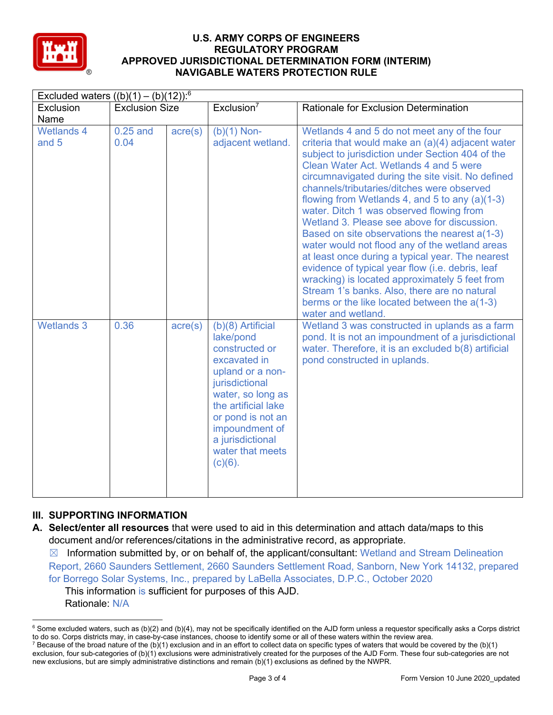

| Excluded waters $((b)(1) - (b)(12))$ : <sup>6</sup> |                       |                  |                                                                                                                                                                                                                                                 |                                                                                                                                                                                                                                                                                                                                                                                                                                                                                                                                                                                                                                                                                                                                                                                                                                    |  |
|-----------------------------------------------------|-----------------------|------------------|-------------------------------------------------------------------------------------------------------------------------------------------------------------------------------------------------------------------------------------------------|------------------------------------------------------------------------------------------------------------------------------------------------------------------------------------------------------------------------------------------------------------------------------------------------------------------------------------------------------------------------------------------------------------------------------------------------------------------------------------------------------------------------------------------------------------------------------------------------------------------------------------------------------------------------------------------------------------------------------------------------------------------------------------------------------------------------------------|--|
| <b>Exclusion</b>                                    | <b>Exclusion Size</b> |                  | Exclusion <sup>7</sup>                                                                                                                                                                                                                          | Rationale for Exclusion Determination                                                                                                                                                                                                                                                                                                                                                                                                                                                                                                                                                                                                                                                                                                                                                                                              |  |
| Name                                                |                       |                  |                                                                                                                                                                                                                                                 |                                                                                                                                                                                                                                                                                                                                                                                                                                                                                                                                                                                                                                                                                                                                                                                                                                    |  |
| <b>Wetlands 4</b><br>and 5                          | $0.25$ and<br>0.04    | $\text{acre}(s)$ | $(b)(1)$ Non-<br>adjacent wetland.                                                                                                                                                                                                              | Wetlands 4 and 5 do not meet any of the four<br>criteria that would make an (a)(4) adjacent water<br>subject to jurisdiction under Section 404 of the<br>Clean Water Act. Wetlands 4 and 5 were<br>circumnavigated during the site visit. No defined<br>channels/tributaries/ditches were observed<br>flowing from Wetlands 4, and 5 to any (a)(1-3)<br>water. Ditch 1 was observed flowing from<br>Wetland 3. Please see above for discussion.<br>Based on site observations the nearest a(1-3)<br>water would not flood any of the wetland areas<br>at least once during a typical year. The nearest<br>evidence of typical year flow (i.e. debris, leaf<br>wracking) is located approximately 5 feet from<br>Stream 1's banks. Also, there are no natural<br>berms or the like located between the a(1-3)<br>water and wetland. |  |
| <b>Wetlands 3</b>                                   | 0.36                  | $\text{acre}(s)$ | (b)(8) Artificial<br>lake/pond<br>constructed or<br>excavated in<br>upland or a non-<br>jurisdictional<br>water, so long as<br>the artificial lake<br>or pond is not an<br>impoundment of<br>a jurisdictional<br>water that meets<br>$(c)(6)$ . | Wetland 3 was constructed in uplands as a farm<br>pond. It is not an impoundment of a jurisdictional<br>water. Therefore, it is an excluded b(8) artificial<br>pond constructed in uplands.                                                                                                                                                                                                                                                                                                                                                                                                                                                                                                                                                                                                                                        |  |

## **III. SUPPORTING INFORMATION**

**A. Select/enter all resources** that were used to aid in this determination and attach data/maps to this document and/or references/citations in the administrative record, as appropriate.

 $\boxtimes$  Information submitted by, or on behalf of, the applicant/consultant: Wetland and Stream Delineation Report, 2660 Saunders Settlement, 2660 Saunders Settlement Road, Sanborn, New York 14132, prepared for Borrego Solar Systems, Inc., prepared by LaBella Associates, D.P.C., October 2020 This information is sufficient for purposes of this AJD. Rationale: N/A

 $6$  Some excluded waters, such as (b)(2) and (b)(4), may not be specifically identified on the AJD form unless a requestor specifically asks a Corps district to do so. Corps districts may, in case-by-case instances, choose to identify some or all of these waters within the review area.

<sup>&</sup>lt;sup>7</sup> Because of the broad nature of the (b)(1) exclusion and in an effort to collect data on specific types of waters that would be covered by the (b)(1) exclusion, four sub-categories of (b)(1) exclusions were administratively created for the purposes of the AJD Form. These four sub-categories are not new exclusions, but are simply administrative distinctions and remain (b)(1) exclusions as defined by the NWPR.